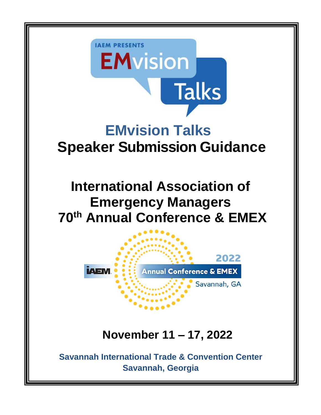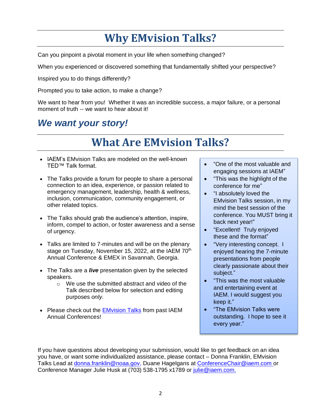# **Why EMvision Talks?**

Can you pinpoint a pivotal moment in your life when something changed?

When you experienced or discovered something that fundamentally shifted your perspective?

Inspired you to do things differently?

Prompted you to take action, to make a change?

We want to hear from you! Whether it was an incredible success, a major failure, or a personal moment of truth -- we want to hear about it!

## *We want your story!*

# **What Are EMvision Talks?**

- IAEM's EMvision Talks are modeled on the well-known TED™ Talk format.
- The Talks provide a forum for people to share a personal connection to an idea, experience, or passion related to emergency management, leadership, health & wellness, inclusion, communication, community engagement, or other related topics.
- The Talks should grab the audience's attention, inspire, inform, compel to action, or foster awareness and a sense of urgency.
- Talks are limited to 7-minutes and will be on the plenary stage on Tuesday, November 15, 2022, at the IAEM 70<sup>th</sup> Annual Conference & EMEX in Savannah, Georgia.
- The Talks are a *live* presentation given by the selected speakers.
	- o We use the submitted abstract and video of the Talk described below for selection and editing purposes *only.*
- Please check out the **[EMvision Talks](https://youtube.com/playlist?list=PLEO1Vr3IY1sv3nmH0ULCvKYbnwZq9KOYo) from past IAEM** Annual Conferences!
- "One of the most valuable and engaging sessions at IAEM"
- "This was the highlight of the conference for me"
- "I absolutely loved the EMvision Talks session, in my mind the best session of the conference. You MUST bring it back next year!"
- "Excellent! Truly enjoyed these and the format"
- "Very interesting concept. I enjoyed hearing the 7-minute presentations from people clearly passionate about their subject."
- "This was the most valuable and entertaining event at IAEM. I would suggest you keep it."
- "The EMvision Talks were outstanding. I hope to see it every year."

If you have questions about developing your submission, would like to get feedback on an idea you have, or want some individualized assistance, please contact – Donna Franklin, EMvision Talks Lead at [donna.franklin@noaa.gov,](mailto:donna.franklin@noaa.gov) Duane Hagelgans at [ConferenceChair@iaem.com](mailto:ConferenceChair@iaem.com) or Conference Manager Julie Husk at (703) 538-1795 x1789 or [julie@iaem.com.](mailto:julie@iaem.com)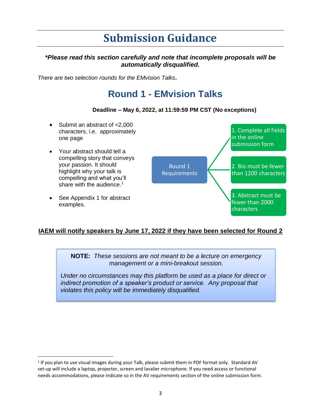## **Submission Guidance**

### *\*Please read this section carefully and note that incomplete proposals will be automatically disqualified.*

*There are two selection rounds for the EMvision Talks***.**

### **Round 1 - EMvision Talks**

#### **Deadline – May 6, 2022, at 11:59:59 PM CST (No exceptions)**

• Submit an abstract of <2,000 characters, i.e. approximately one page • Your abstract should tell a compelling story that conveys your passion. It should highlight why your talk is compelling and what you'll share with the audience.<sup>1</sup> See Appendix 1 for abstract examples*.* Round 1 Requirements 1. Complete all fields in the online submission form 2. Bio must be fewer than 1200 characters 3. Abstract must be fewer than 2000 characters

### **IAEM will notify speakers by June 17, 2022 if they have been selected for Round 2**

**NOTE:** *These sessions are not meant to be a lecture on emergency management or a mini-breakout session.*

*Under no circumstances may this platform be used as a place for direct or indirect promotion of a speaker's product or service. Any proposal that violates this policy will be immediately disqualified.* 

<sup>&</sup>lt;sup>1</sup> If you plan to use visual images during your Talk, please submit them in PDF format only. Standard AV set-up will include a laptop, projector, screen and lavalier microphone. If you need access or functional needs accommodations, please indicate so in the AV requirements section of the online submission form.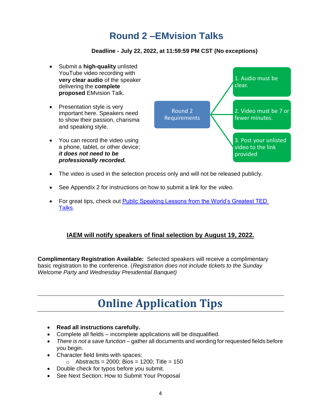## **Round 2 –EMvision Talks**

### **Deadline - July 22, 2022, at 11:59:59 PM CST (No exceptions)**



- The video is used in the selection process only and will not be released publicly.
- See Appendix 2 for instructions on how to submit a link for the *video.*
- For great tips, check out **Public Speaking Lessons from the World's Greatest TED** [Talks.](http://bit.ly/2G1jJsA)

### **IAEM will notify speakers of final selection by August 19, 2022.**

**Complimentary Registration Available:** Selected speakers will receive a complimentary basic registration to the conference. (*Registration does not include tickets to the Sunday Welcome Party and Wednesday Presidential Banquet)*

# **Online Application Tips**

- **Read all instructions carefully.**
- Complete all fields incomplete applications will be disqualified.
- *There is not a save function* gather all documents and wording for requested fields before you begin.
- Character field limits with spaces:
	- $\circ$  Abstracts = 2000; Bios = 1200; Title = 150
- Double check for typos before you submit.
- See Next Section: How to Submit Your Proposal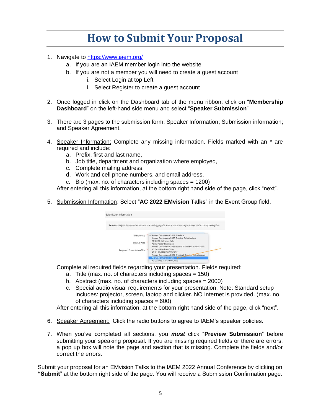## **How to Submit Your Proposal**

- 1. Navigate to <https://www.iaem.org/>
	- a. If you are an IAEM member login into the website
	- b. If you are not a member you will need to create a guest account
		- i. Select Login at top Left
		- ii. Select Register to create a guest account
- 2. Once logged in click on the Dashboard tab of the menu ribbon, click on "**Membership Dashboard**" on the left-hand side menu and select "**Speaker Submission**"
- 3. There are 3 pages to the submission form. Speaker Information; Submission information; and Speaker Agreement.
- 4. Speaker Information: Complete any missing information. Fields marked with an \* are required and include:
	- a. Prefix, first and last name,
	- b. Job title, department and organization where employed,
	- c. Complete mailing address,
	- d. Work and cell phone numbers, and email address.
	- e. Bio (max. no. of characters including spaces = 1200)

After entering all this information, at the bottom right hand side of the page, click "next".

5. Submission Information: Select "**AC 2022 EMvision Talks**" in the Event Group field.

| Submission Information       |                                                                                                                                                                                          |  |
|------------------------------|------------------------------------------------------------------------------------------------------------------------------------------------------------------------------------------|--|
|                              | O You can adjust the size of a multi-line box by dragging the lines at the bottom right corner of the corresponding box.                                                                 |  |
| Event Group<br>Interest Area | √ Annual Conference 2019 Speakers<br>Annual Conference 2020 Speaker Submissions<br>AC 2020 EMvision Talks<br>AC20 Poster Showcase<br>Annual Conference 2021 Breakout Speaker Submissions |  |
| Proposed Presentation Title  | AC 2021 FMyision Talks<br><b>AC 21 POSTER SHOWCASE</b><br>Annual Conference 2022 Breakout Speaker Submissions<br><b>AC 2022 EMvision Talks</b><br><b>AC 22 POSTER SHOWCASE</b>           |  |

Complete all required fields regarding your presentation. Fields required:

- a. Title (max. no. of characters including spaces = 150)
- b. Abstract (max. no. of characters including spaces = 2000)
- c. Special audio visual requirements for your presentation. Note: Standard setup includes: projector, screen, laptop and clicker. NO Internet is provided. (max. no. of characters including spaces  $= 600$ )

After entering all this information, at the bottom right hand side of the page, click "next".

- 6. Speaker Agreement: Click the radio buttons to agree to IAEM's speaker policies.
- 7. When you've completed all sections, you *must* click "**Preview Submission**" before submitting your speaking proposal. If you are missing required fields or there are errors, a pop up box will note the page and section that is missing. Complete the fields and/or correct the errors.

Submit your proposal for an EMvision Talks to the IAEM 2022 Annual Conference by clicking on **"Submit**" at the bottom right side of the page. You will receive a Submission Confirmation page.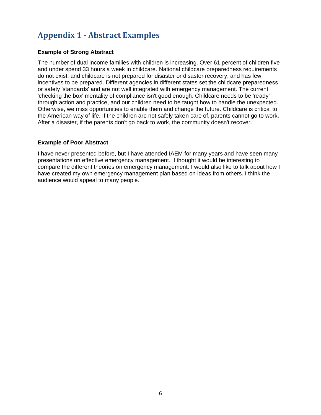### **Appendix 1 - Abstract Examples**

#### **Example of Strong Abstract**

The number of dual income families with children is increasing. Over 61 percent of children five and under spend 33 hours a week in childcare. National childcare preparedness requirements do not exist, and childcare is not prepared for disaster or disaster recovery, and has few incentives to be prepared. Different agencies in different states set the childcare preparedness or safety 'standards' and are not well integrated with emergency management. The current 'checking the box' mentality of compliance isn't good enough. Childcare needs to be 'ready' through action and practice, and our children need to be taught how to handle the unexpected. Otherwise, we miss opportunities to enable them and change the future. Childcare is critical to the American way of life. If the children are not safely taken care of, parents cannot go to work. After a disaster, if the parents don't go back to work, the community doesn't recover.

#### **Example of Poor Abstract**

I have never presented before, but I have attended IAEM for many years and have seen many presentations on effective emergency management. I thought it would be interesting to compare the different theories on emergency management. I would also like to talk about how I have created my own emergency management plan based on ideas from others. I think the audience would appeal to many people.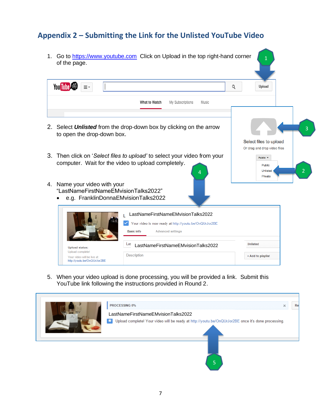### **Appendix 2 – Submitting the Link for the Unlisted YouTube Video**

- 1. Go to [https://www.youtube.com](https://www.youtube.com/) Click on Upload in the top right-hand corner 1 of the page. You Tube Q Upload Ξ۰ What to Watch My Subscriptions Music 2. Select *Unlisted* from the drop-down box by clicking on the arrow 3 to open the drop-down box. Select files to upload Or drag and drop video files 3. Then click on '*Select files to upload'* to select your video from your Public  $\star$ computer. Wait for the video to upload completely. Public 4 Dinisted Contract 2 4. Name your video with your "LastNameFirstNameEMvisionTalks2022" • e.g. FranklinDonnaEMvisionTalks2022 L LastNameFirstNameEMvisionTalks2022  $\checkmark$ Your video is now ready at http://youtu.be/OnQUrJor2BE **Basic info Advanced settings** Unlisted LastNameFirstNameEMvisionTalks2022 **Upload status:** Upload complete Description + Add to playlist Your video will be live at: http://youtu.be/OnQUrJor2BE
- 5. When your video upload is done processing, you will be provided a link. Submit this YouTube link following the instructions provided in Round 2.